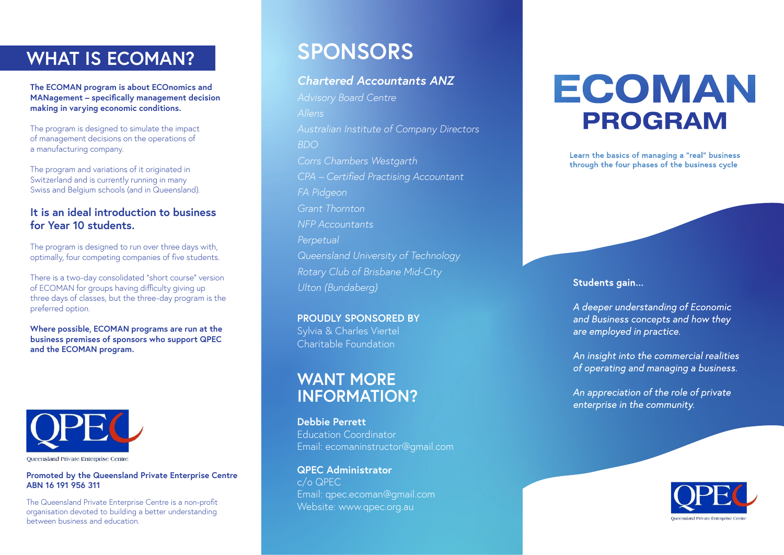# **WHAT IS ECOMAN?**

**The ECOMAN program is about ECOnomics and MANagement – specifically management decision making in varying economic conditions.**

The program is designed to simulate the impact of management decisions on the operations of a manufacturing company.

The program and variations of it originated in Switzerland and is currently running in many Swiss and Belgium schools (and in Queensland).

### **It is an ideal introduction to business for Year 10 students.**

The program is designed to run over three days with, optimally, four competing companies of five students.

There is a two-day consolidated "short course" version of ECOMAN for groups having difficulty giving up three days of classes, but the three-day program is the preferred option.

**Where possible, ECOMAN programs are run at the business premises of sponsors who support QPEC and the ECOMAN program.**



**Promoted by the Queensland Private Enterprise Centre ABN 16 191 956 311**

The Queensland Private Enterprise Centre is a non-profit organisation devoted to building a better understanding between business and education.

# **SPONSORS**

## *Chartered Accountants ANZ*

*Advisory Board Centre Allens Australian Institute of Company Directors BDO Corrs Chambers Westgarth CPA – Certified Practising Accountant FA Pidgeon Grant Thornton NFP Accountants Perpetual Queensland University of Technology Rotary Club of Brisbane Mid-City Ulton (Bundaberg)*

**PROUDLY SPONSORED BY** Sylvia & Charles Viertel Charitable Foundation

# **WANT MORE INFORMATION?**

**Debbie Perrett** Education Coordinator Email: ecomaninstructor@gmail.com

**QPEC Administrator** c/o QPEC Email: qpec.ecoman@gmail.com Website: www.qpec.org.au

# ECOMAN **PROGRAM**

Learn the basics of managing a "real" business through the four phases of the business cycle

#### Students gain...

A deeper understanding of Economic and Business concepts and how they are employed in practice.

An insight into the commercial realities of operating and managing a business.

An appreciation of the role of private enterprise in the community.